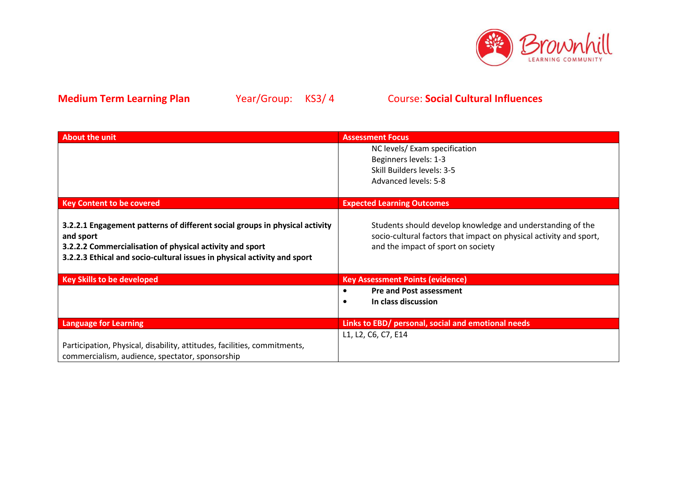

| About the unit                                                                                                                                                                                                                   | <b>Assessment Focus</b>                                                                                                                                                |
|----------------------------------------------------------------------------------------------------------------------------------------------------------------------------------------------------------------------------------|------------------------------------------------------------------------------------------------------------------------------------------------------------------------|
|                                                                                                                                                                                                                                  | NC levels/ Exam specification<br>Beginners levels: 1-3                                                                                                                 |
|                                                                                                                                                                                                                                  | Skill Builders levels: 3-5                                                                                                                                             |
|                                                                                                                                                                                                                                  | Advanced levels: 5-8                                                                                                                                                   |
| <b>Key Content to be covered</b>                                                                                                                                                                                                 | <b>Expected Learning Outcomes</b>                                                                                                                                      |
| 3.2.2.1 Engagement patterns of different social groups in physical activity<br>and sport<br>3.2.2.2 Commercialisation of physical activity and sport<br>3.2.2.3 Ethical and socio-cultural issues in physical activity and sport | Students should develop knowledge and understanding of the<br>socio-cultural factors that impact on physical activity and sport,<br>and the impact of sport on society |
| <b>Key Skills to be developed</b>                                                                                                                                                                                                | <b>Key Assessment Points (evidence)</b>                                                                                                                                |
|                                                                                                                                                                                                                                  | <b>Pre and Post assessment</b>                                                                                                                                         |
|                                                                                                                                                                                                                                  | In class discussion                                                                                                                                                    |
| <b>Language for Learning</b>                                                                                                                                                                                                     | Links to EBD/ personal, social and emotional needs                                                                                                                     |
|                                                                                                                                                                                                                                  | L1, L2, C6, C7, E14                                                                                                                                                    |
| Participation, Physical, disability, attitudes, facilities, commitments,                                                                                                                                                         |                                                                                                                                                                        |
| commercialism, audience, spectator, sponsorship                                                                                                                                                                                  |                                                                                                                                                                        |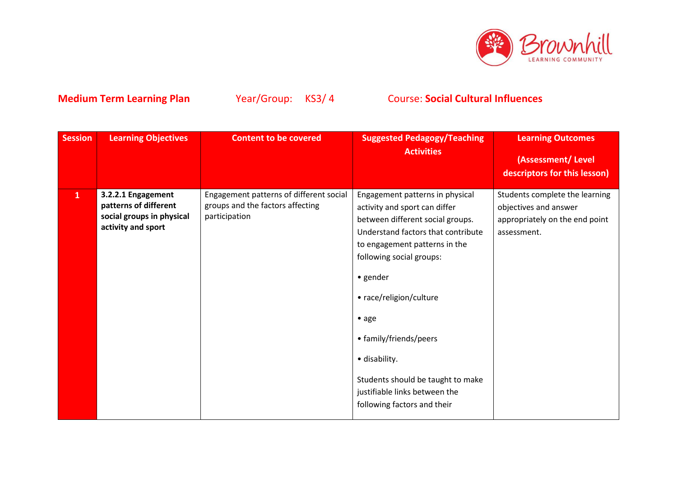

| <b>Session</b> | <b>Learning Objectives</b>                                                                     | <b>Content to be covered</b>                                                                 | <b>Suggested Pedagogy/Teaching</b><br><b>Activities</b>                                                                                                                                                                                                                                                                                                                                                 | <b>Learning Outcomes</b><br>(Assessment/Level                                                                                            |
|----------------|------------------------------------------------------------------------------------------------|----------------------------------------------------------------------------------------------|---------------------------------------------------------------------------------------------------------------------------------------------------------------------------------------------------------------------------------------------------------------------------------------------------------------------------------------------------------------------------------------------------------|------------------------------------------------------------------------------------------------------------------------------------------|
| $\mathbf{1}$   | 3.2.2.1 Engagement<br>patterns of different<br>social groups in physical<br>activity and sport | Engagement patterns of different social<br>groups and the factors affecting<br>participation | Engagement patterns in physical<br>activity and sport can differ<br>between different social groups.<br>Understand factors that contribute<br>to engagement patterns in the<br>following social groups:<br>• gender<br>• race/religion/culture<br>• age<br>• family/friends/peers<br>· disability.<br>Students should be taught to make<br>justifiable links between the<br>following factors and their | descriptors for this lesson)<br>Students complete the learning<br>objectives and answer<br>appropriately on the end point<br>assessment. |
|                |                                                                                                |                                                                                              |                                                                                                                                                                                                                                                                                                                                                                                                         |                                                                                                                                          |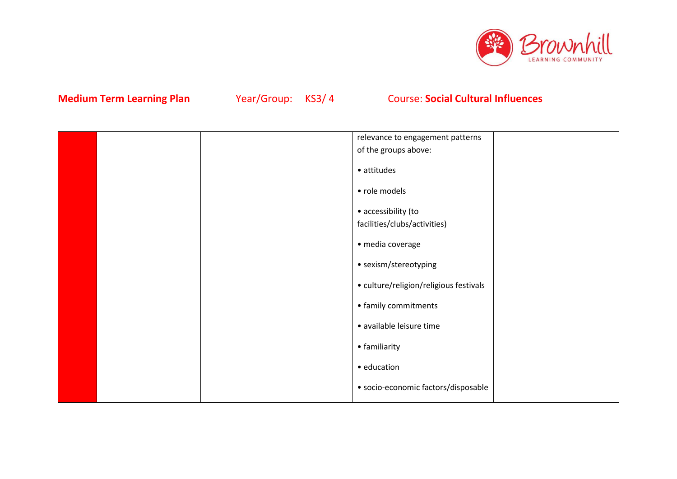

|  | relevance to engagement patterns       |  |
|--|----------------------------------------|--|
|  | of the groups above:                   |  |
|  | • attitudes                            |  |
|  | • role models                          |  |
|  | • accessibility (to                    |  |
|  | facilities/clubs/activities)           |  |
|  | · media coverage                       |  |
|  | • sexism/stereotyping                  |  |
|  | • culture/religion/religious festivals |  |
|  | • family commitments                   |  |
|  | · available leisure time               |  |
|  | • familiarity                          |  |
|  | • education                            |  |
|  | · socio-economic factors/disposable    |  |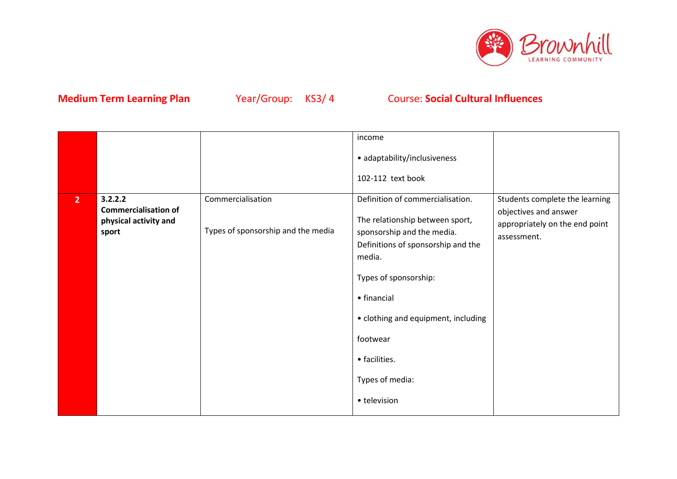

|                |                                                                          |                                                         | income                                                                                                                                                                                                                                                                           |                                                                                                          |
|----------------|--------------------------------------------------------------------------|---------------------------------------------------------|----------------------------------------------------------------------------------------------------------------------------------------------------------------------------------------------------------------------------------------------------------------------------------|----------------------------------------------------------------------------------------------------------|
|                |                                                                          |                                                         | • adaptability/inclusiveness                                                                                                                                                                                                                                                     |                                                                                                          |
|                |                                                                          |                                                         | 102-112 text book                                                                                                                                                                                                                                                                |                                                                                                          |
| 2 <sup>1</sup> | 3.2.2.2<br><b>Commercialisation of</b><br>physical activity and<br>sport | Commercialisation<br>Types of sponsorship and the media | Definition of commercialisation.<br>The relationship between sport,<br>sponsorship and the media.<br>Definitions of sponsorship and the<br>media.<br>Types of sponsorship:<br>• financial<br>• clothing and equipment, including<br>footwear<br>• facilities.<br>Types of media: | Students complete the learning<br>objectives and answer<br>appropriately on the end point<br>assessment. |
|                |                                                                          |                                                         | • television                                                                                                                                                                                                                                                                     |                                                                                                          |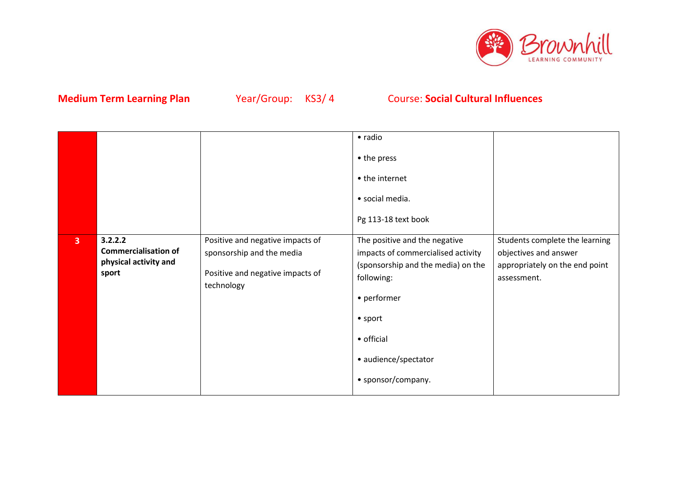

|                |                                                                          |                                                                                                                 | • radio                                                                                                                                                                                                               |                                                                                                          |
|----------------|--------------------------------------------------------------------------|-----------------------------------------------------------------------------------------------------------------|-----------------------------------------------------------------------------------------------------------------------------------------------------------------------------------------------------------------------|----------------------------------------------------------------------------------------------------------|
|                |                                                                          |                                                                                                                 | • the press                                                                                                                                                                                                           |                                                                                                          |
|                |                                                                          |                                                                                                                 | • the internet                                                                                                                                                                                                        |                                                                                                          |
|                |                                                                          |                                                                                                                 | · social media.                                                                                                                                                                                                       |                                                                                                          |
|                |                                                                          |                                                                                                                 | Pg 113-18 text book                                                                                                                                                                                                   |                                                                                                          |
| $\overline{3}$ | 3.2.2.2<br><b>Commercialisation of</b><br>physical activity and<br>sport | Positive and negative impacts of<br>sponsorship and the media<br>Positive and negative impacts of<br>technology | The positive and the negative<br>impacts of commercialised activity<br>(sponsorship and the media) on the<br>following:<br>• performer<br>$\bullet$ sport<br>• official<br>· audience/spectator<br>• sponsor/company. | Students complete the learning<br>objectives and answer<br>appropriately on the end point<br>assessment. |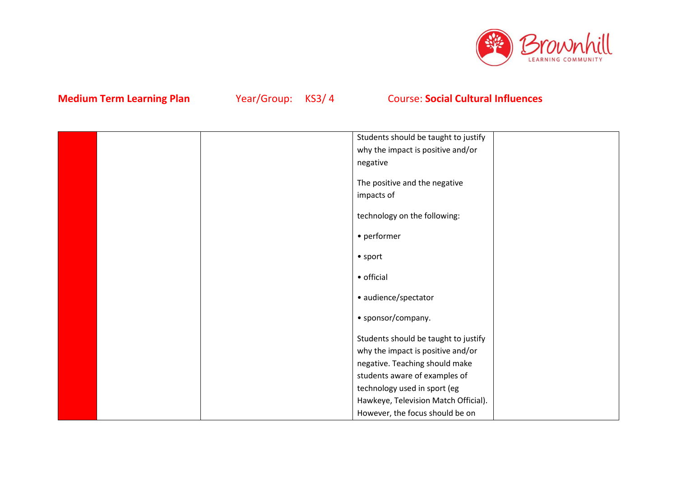

|  | Students should be taught to justify |  |
|--|--------------------------------------|--|
|  | why the impact is positive and/or    |  |
|  | negative                             |  |
|  |                                      |  |
|  | The positive and the negative        |  |
|  | impacts of                           |  |
|  | technology on the following:         |  |
|  | • performer                          |  |
|  | $\bullet$ sport                      |  |
|  | • official                           |  |
|  | · audience/spectator                 |  |
|  | • sponsor/company.                   |  |
|  | Students should be taught to justify |  |
|  | why the impact is positive and/or    |  |
|  | negative. Teaching should make       |  |
|  | students aware of examples of        |  |
|  | technology used in sport (eg         |  |
|  | Hawkeye, Television Match Official). |  |
|  | However, the focus should be on      |  |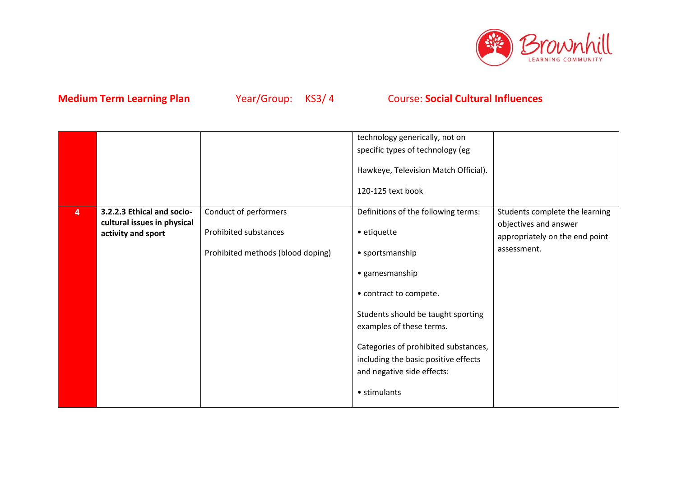

|                |                                                                                 |                                                                                     | technology generically, not on<br>specific types of technology (eg<br>Hawkeye, Television Match Official).<br>120-125 text book                                                                                                                                                                                   |                                                                                                          |
|----------------|---------------------------------------------------------------------------------|-------------------------------------------------------------------------------------|-------------------------------------------------------------------------------------------------------------------------------------------------------------------------------------------------------------------------------------------------------------------------------------------------------------------|----------------------------------------------------------------------------------------------------------|
| $\overline{4}$ | 3.2.2.3 Ethical and socio-<br>cultural issues in physical<br>activity and sport | Conduct of performers<br>Prohibited substances<br>Prohibited methods (blood doping) | Definitions of the following terms:<br>• etiquette<br>• sportsmanship<br>• gamesmanship<br>• contract to compete.<br>Students should be taught sporting<br>examples of these terms.<br>Categories of prohibited substances,<br>including the basic positive effects<br>and negative side effects:<br>• stimulants | Students complete the learning<br>objectives and answer<br>appropriately on the end point<br>assessment. |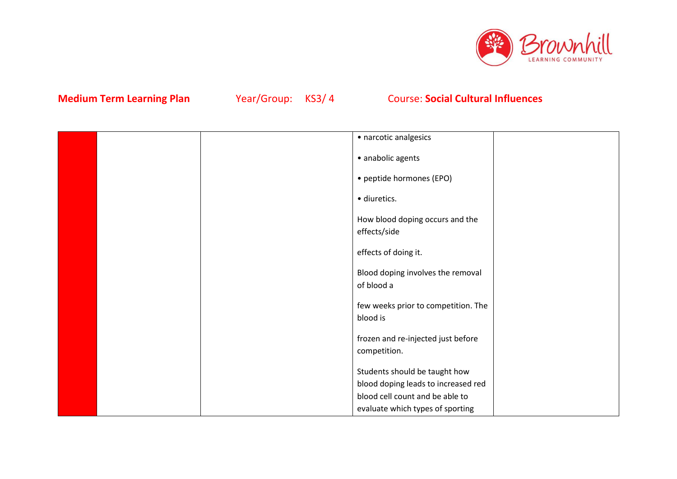

|  | · narcotic analgesics                              |  |
|--|----------------------------------------------------|--|
|  | · anabolic agents                                  |  |
|  | • peptide hormones (EPO)                           |  |
|  | · diuretics.                                       |  |
|  | How blood doping occurs and the<br>effects/side    |  |
|  | effects of doing it.                               |  |
|  | Blood doping involves the removal<br>of blood a    |  |
|  | few weeks prior to competition. The<br>blood is    |  |
|  | frozen and re-injected just before<br>competition. |  |
|  | Students should be taught how                      |  |
|  | blood doping leads to increased red                |  |
|  | blood cell count and be able to                    |  |
|  | evaluate which types of sporting                   |  |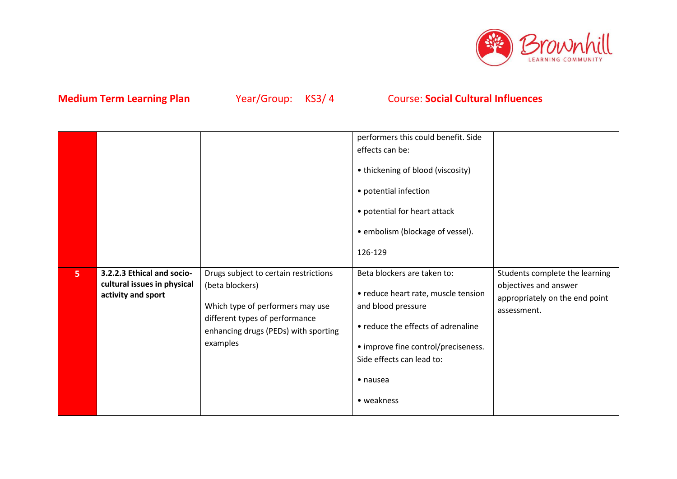

|   |                                                                                 |                                                                                                                                                                                    | performers this could benefit. Side<br>effects can be:<br>• thickening of blood (viscosity)<br>• potential infection<br>• potential for heart attack<br>• embolism (blockage of vessel).<br>126-129                                  |                                                                                                          |
|---|---------------------------------------------------------------------------------|------------------------------------------------------------------------------------------------------------------------------------------------------------------------------------|--------------------------------------------------------------------------------------------------------------------------------------------------------------------------------------------------------------------------------------|----------------------------------------------------------------------------------------------------------|
| 5 | 3.2.2.3 Ethical and socio-<br>cultural issues in physical<br>activity and sport | Drugs subject to certain restrictions<br>(beta blockers)<br>Which type of performers may use<br>different types of performance<br>enhancing drugs (PEDs) with sporting<br>examples | Beta blockers are taken to:<br>• reduce heart rate, muscle tension<br>and blood pressure<br>• reduce the effects of adrenaline<br>• improve fine control/preciseness.<br>Side effects can lead to:<br>$\bullet$ nausea<br>• weakness | Students complete the learning<br>objectives and answer<br>appropriately on the end point<br>assessment. |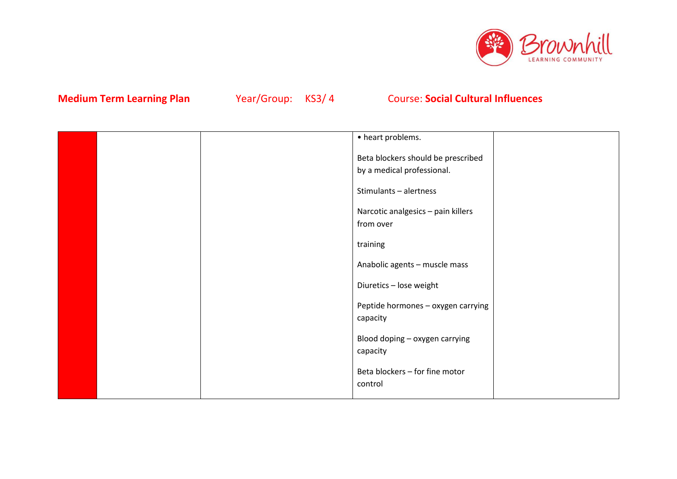

|  | • heart problems.                                                |  |
|--|------------------------------------------------------------------|--|
|  | Beta blockers should be prescribed<br>by a medical professional. |  |
|  | Stimulants - alertness                                           |  |
|  | Narcotic analgesics - pain killers<br>from over                  |  |
|  | training                                                         |  |
|  | Anabolic agents - muscle mass                                    |  |
|  | Diuretics - lose weight                                          |  |
|  | Peptide hormones - oxygen carrying<br>capacity                   |  |
|  | Blood doping - oxygen carrying<br>capacity                       |  |
|  | Beta blockers - for fine motor<br>control                        |  |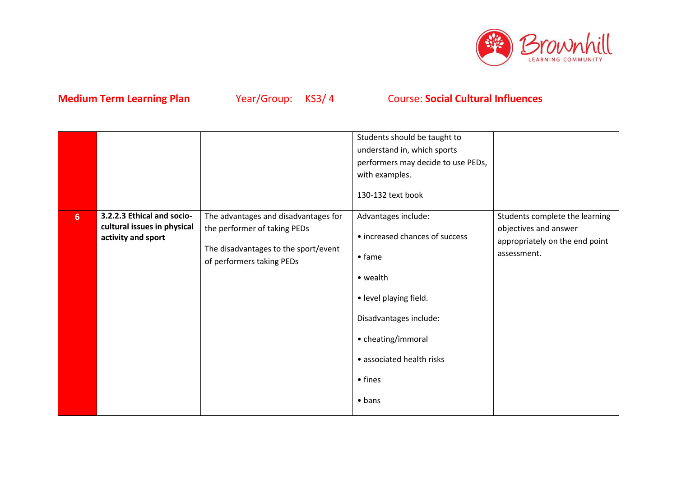

|                |                                                                                 |                                                                      | Students should be taught to<br>understand in, which sports<br>performers may decide to use PEDs,<br>with examples.<br>130-132 text book |                                                         |
|----------------|---------------------------------------------------------------------------------|----------------------------------------------------------------------|------------------------------------------------------------------------------------------------------------------------------------------|---------------------------------------------------------|
| 6 <sup>1</sup> | 3.2.2.3 Ethical and socio-<br>cultural issues in physical<br>activity and sport | The advantages and disadvantages for<br>the performer of taking PEDs | Advantages include:<br>• increased chances of success                                                                                    | Students complete the learning<br>objectives and answer |
|                |                                                                                 | The disadvantages to the sport/event<br>of performers taking PEDs    | $•$ fame                                                                                                                                 | appropriately on the end point<br>assessment.           |
|                |                                                                                 |                                                                      | • wealth                                                                                                                                 |                                                         |
|                |                                                                                 |                                                                      | • level playing field.                                                                                                                   |                                                         |
|                |                                                                                 |                                                                      | Disadvantages include:                                                                                                                   |                                                         |
|                |                                                                                 |                                                                      | • cheating/immoral                                                                                                                       |                                                         |
|                |                                                                                 |                                                                      | • associated health risks                                                                                                                |                                                         |
|                |                                                                                 |                                                                      | • fines                                                                                                                                  |                                                         |
|                |                                                                                 |                                                                      | $\bullet$ bans                                                                                                                           |                                                         |
|                |                                                                                 |                                                                      |                                                                                                                                          |                                                         |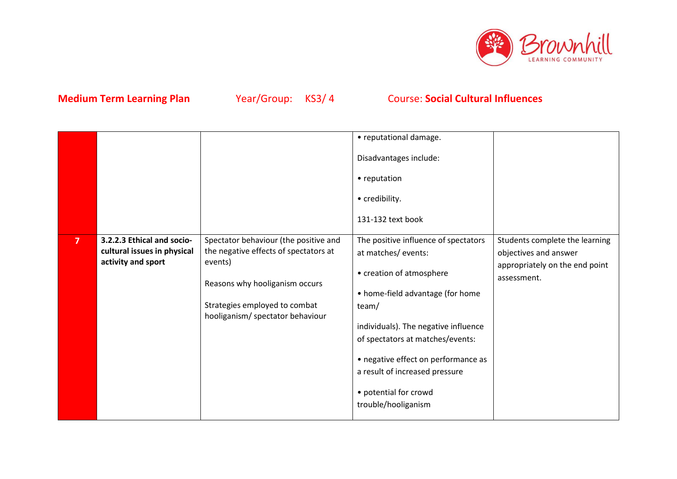

|                |                                                                                 |                                                                                                                                                                                                  | • reputational damage.<br>Disadvantages include:<br>• reputation<br>• credibility.                                                                                                                                                                                                                                                       |                                                                                                          |
|----------------|---------------------------------------------------------------------------------|--------------------------------------------------------------------------------------------------------------------------------------------------------------------------------------------------|------------------------------------------------------------------------------------------------------------------------------------------------------------------------------------------------------------------------------------------------------------------------------------------------------------------------------------------|----------------------------------------------------------------------------------------------------------|
|                |                                                                                 |                                                                                                                                                                                                  | 131-132 text book                                                                                                                                                                                                                                                                                                                        |                                                                                                          |
| $\overline{7}$ | 3.2.2.3 Ethical and socio-<br>cultural issues in physical<br>activity and sport | Spectator behaviour (the positive and<br>the negative effects of spectators at<br>events)<br>Reasons why hooliganism occurs<br>Strategies employed to combat<br>hooliganism/ spectator behaviour | The positive influence of spectators<br>at matches/events:<br>• creation of atmosphere<br>• home-field advantage (for home<br>team/<br>individuals). The negative influence<br>of spectators at matches/events:<br>• negative effect on performance as<br>a result of increased pressure<br>• potential for crowd<br>trouble/hooliganism | Students complete the learning<br>objectives and answer<br>appropriately on the end point<br>assessment. |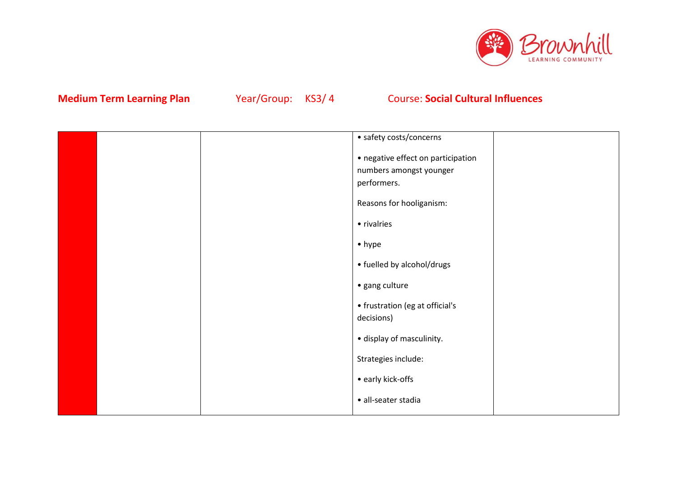

|  | • safety costs/concerns            |  |
|--|------------------------------------|--|
|  | • negative effect on participation |  |
|  | numbers amongst younger            |  |
|  | performers.                        |  |
|  | Reasons for hooliganism:           |  |
|  | • rivalries                        |  |
|  | $\bullet$ hype                     |  |
|  | • fuelled by alcohol/drugs         |  |
|  | · gang culture                     |  |
|  | • frustration (eg at official's    |  |
|  | decisions)                         |  |
|  | · display of masculinity.          |  |
|  | Strategies include:                |  |
|  | • early kick-offs                  |  |
|  | · all-seater stadia                |  |
|  |                                    |  |